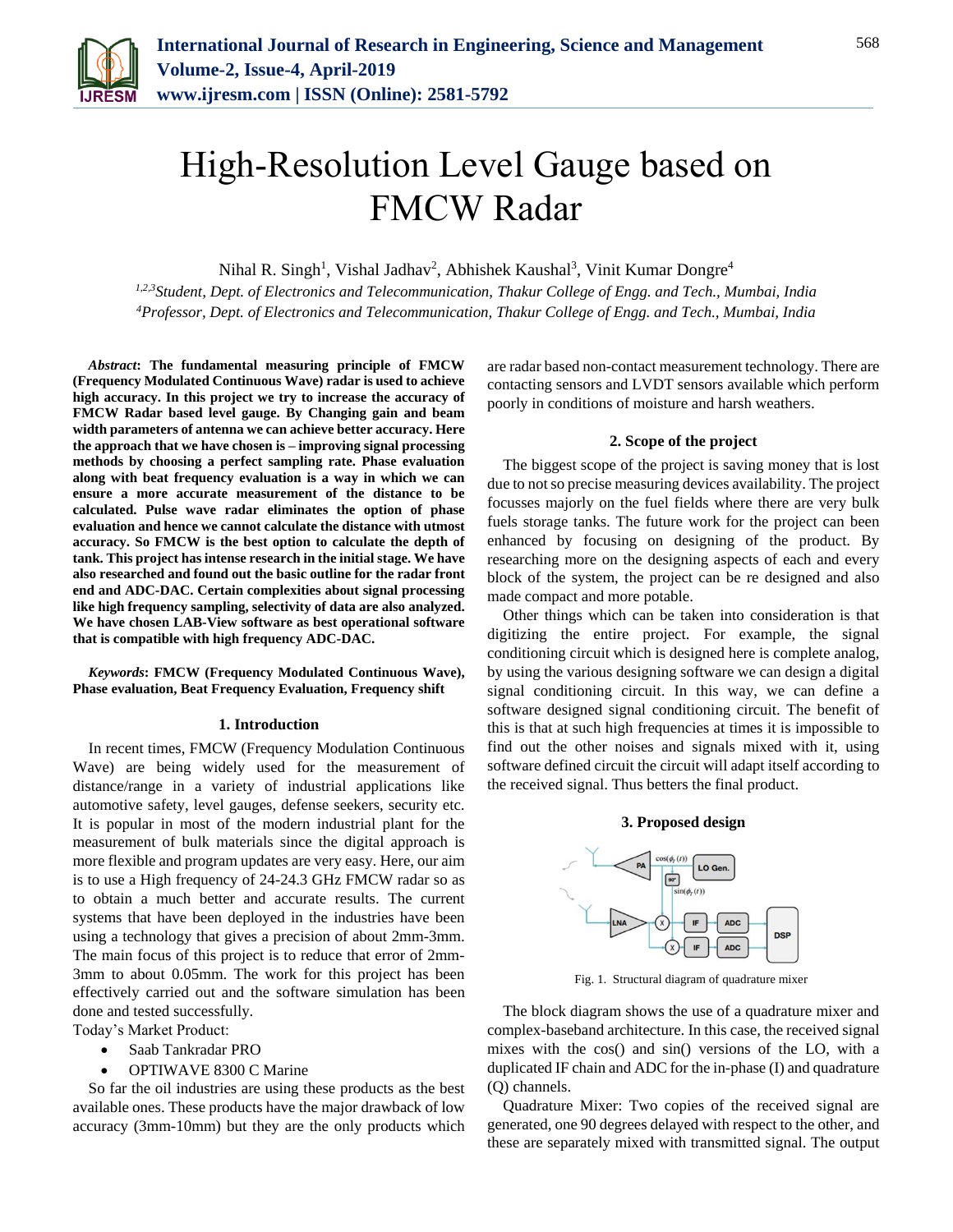

# High-Resolution Level Gauge based on FMCW Radar

Nihal R. Singh<sup>1</sup>, Vishal Jadhav<sup>2</sup>, Abhishek Kaushal<sup>3</sup>, Vinit Kumar Dongre<sup>4</sup>

*1,2,3Student, Dept. of Electronics and Telecommunication, Thakur College of Engg. and Tech., Mumbai, India 4Professor, Dept. of Electronics and Telecommunication, Thakur College of Engg. and Tech., Mumbai, India*

*Abstract***: The fundamental measuring principle of FMCW (Frequency Modulated Continuous Wave) radar is used to achieve high accuracy. In this project we try to increase the accuracy of FMCW Radar based level gauge. By Changing gain and beam width parameters of antenna we can achieve better accuracy. Here the approach that we have chosen is – improving signal processing methods by choosing a perfect sampling rate. Phase evaluation along with beat frequency evaluation is a way in which we can ensure a more accurate measurement of the distance to be calculated. Pulse wave radar eliminates the option of phase evaluation and hence we cannot calculate the distance with utmost accuracy. So FMCW is the best option to calculate the depth of tank. This project has intense research in the initial stage. We have also researched and found out the basic outline for the radar front end and ADC-DAC. Certain complexities about signal processing like high frequency sampling, selectivity of data are also analyzed. We have chosen LAB-View software as best operational software that is compatible with high frequency ADC-DAC.**

*Keywords***: FMCW (Frequency Modulated Continuous Wave), Phase evaluation, Beat Frequency Evaluation, Frequency shift**

#### **1. Introduction**

In recent times, FMCW (Frequency Modulation Continuous Wave) are being widely used for the measurement of distance/range in a variety of industrial applications like automotive safety, level gauges, defense seekers, security etc. It is popular in most of the modern industrial plant for the measurement of bulk materials since the digital approach is more flexible and program updates are very easy. Here, our aim is to use a High frequency of 24-24.3 GHz FMCW radar so as to obtain a much better and accurate results. The current systems that have been deployed in the industries have been using a technology that gives a precision of about 2mm-3mm. The main focus of this project is to reduce that error of 2mm-3mm to about 0.05mm. The work for this project has been effectively carried out and the software simulation has been done and tested successfully.

- Today's Market Product:
	- Saab Tankradar PRO
	- OPTIWAVE 8300 C Marine

So far the oil industries are using these products as the best available ones. These products have the major drawback of low accuracy (3mm-10mm) but they are the only products which are radar based non-contact measurement technology. There are contacting sensors and LVDT sensors available which perform poorly in conditions of moisture and harsh weathers.

#### **2. Scope of the project**

The biggest scope of the project is saving money that is lost due to not so precise measuring devices availability. The project focusses majorly on the fuel fields where there are very bulk fuels storage tanks. The future work for the project can been enhanced by focusing on designing of the product. By researching more on the designing aspects of each and every block of the system, the project can be re designed and also made compact and more potable.

Other things which can be taken into consideration is that digitizing the entire project. For example, the signal conditioning circuit which is designed here is complete analog, by using the various designing software we can design a digital signal conditioning circuit. In this way, we can define a software designed signal conditioning circuit. The benefit of this is that at such high frequencies at times it is impossible to find out the other noises and signals mixed with it, using software defined circuit the circuit will adapt itself according to the received signal. Thus betters the final product.

## **3. Proposed design**



Fig. 1. Structural diagram of quadrature mixer

The block diagram shows the use of a quadrature mixer and complex-baseband architecture. In this case, the received signal mixes with the cos() and sin() versions of the LO, with a duplicated IF chain and ADC for the in-phase (I) and quadrature (Q) channels.

Quadrature Mixer: Two copies of the received signal are generated, one 90 degrees delayed with respect to the other, and these are separately mixed with transmitted signal. The output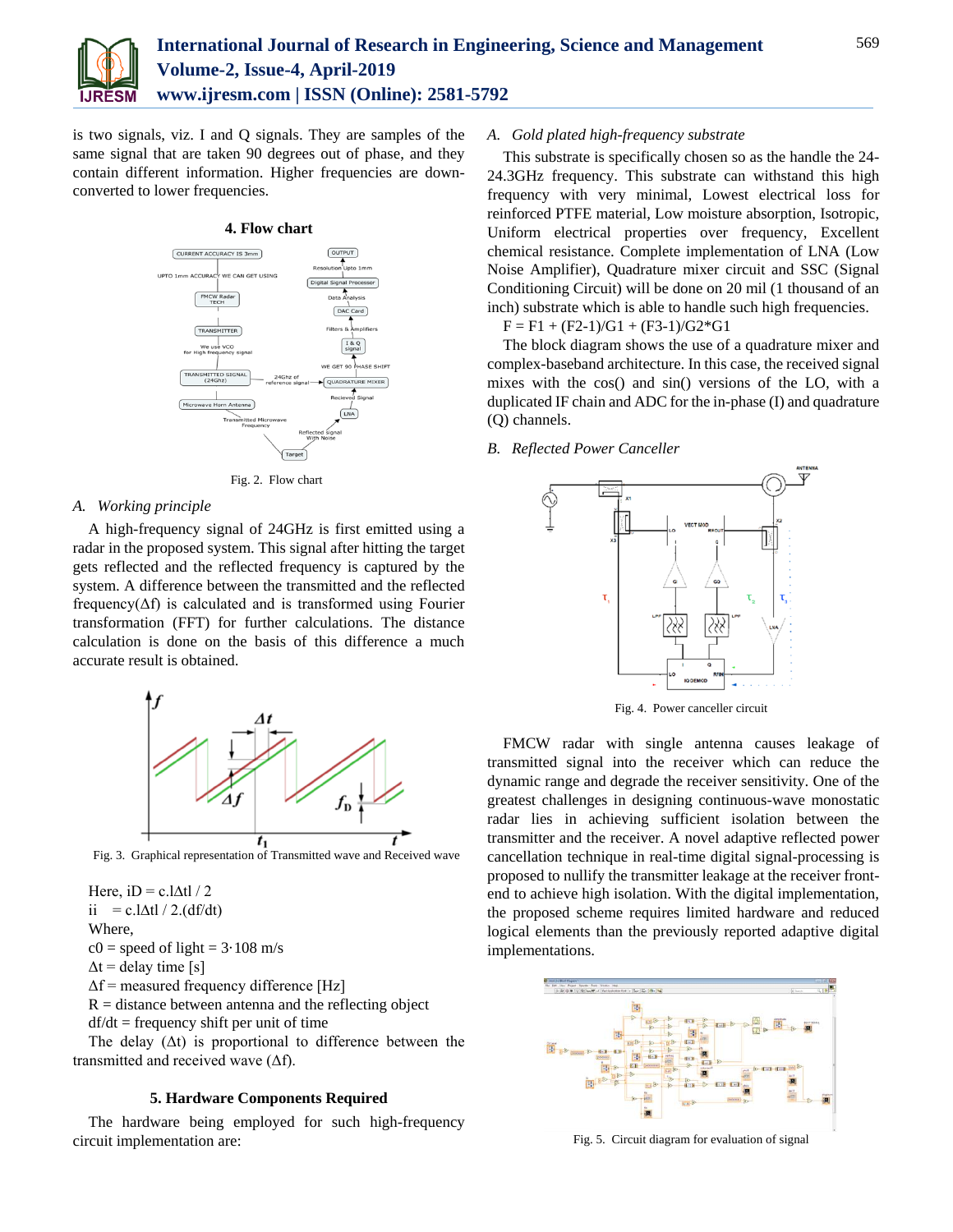

is two signals, viz. I and Q signals. They are samples of the same signal that are taken 90 degrees out of phase, and they contain different information. Higher frequencies are downconverted to lower frequencies.



Fig. 2. Flow chart

## *A. Working principle*

A high-frequency signal of 24GHz is first emitted using a radar in the proposed system. This signal after hitting the target gets reflected and the reflected frequency is captured by the system. A difference between the transmitted and the reflected frequency( $\Delta f$ ) is calculated and is transformed using Fourier transformation (FFT) for further calculations. The distance calculation is done on the basis of this difference a much accurate result is obtained.



Fig. 3. Graphical representation of Transmitted wave and Received wave

Here, iD = c.l $\Delta t$ l / 2 ii = c.l $\Delta t$ l / 2.(df/dt) Where,  $c0 = speed of light = 3.108 m/s$  $\Delta t$  = delay time [s]  $\Delta f$  = measured frequency difference [Hz]  $R =$  distance between antenna and the reflecting object  $df/dt = \text{frequency shift per unit of time}$ 

The delay  $( \Delta t )$  is proportional to difference between the transmitted and received wave (Δf).

# **5. Hardware Components Required**

The hardware being employed for such high-frequency circuit implementation are:

## *A. Gold plated high-frequency substrate*

This substrate is specifically chosen so as the handle the 24- 24.3GHz frequency. This substrate can withstand this high frequency with very minimal, Lowest electrical loss for reinforced PTFE material, Low moisture absorption, Isotropic, Uniform electrical properties over frequency, Excellent chemical resistance. Complete implementation of LNA (Low Noise Amplifier), Quadrature mixer circuit and SSC (Signal Conditioning Circuit) will be done on 20 mil (1 thousand of an inch) substrate which is able to handle such high frequencies.

 $F = F1 + (F2-1)/G1 + (F3-1)/G2*G1$ 

The block diagram shows the use of a quadrature mixer and complex-baseband architecture. In this case, the received signal mixes with the cos() and sin() versions of the LO, with a duplicated IF chain and ADC for the in-phase (I) and quadrature (Q) channels.

## *B. Reflected Power Canceller*



Fig. 4. Power canceller circuit

FMCW radar with single antenna causes leakage of transmitted signal into the receiver which can reduce the dynamic range and degrade the receiver sensitivity. One of the greatest challenges in designing continuous-wave monostatic radar lies in achieving sufficient isolation between the transmitter and the receiver. A novel adaptive reflected power cancellation technique in real-time digital signal-processing is proposed to nullify the transmitter leakage at the receiver frontend to achieve high isolation. With the digital implementation, the proposed scheme requires limited hardware and reduced logical elements than the previously reported adaptive digital implementations.



Fig. 5. Circuit diagram for evaluation of signal